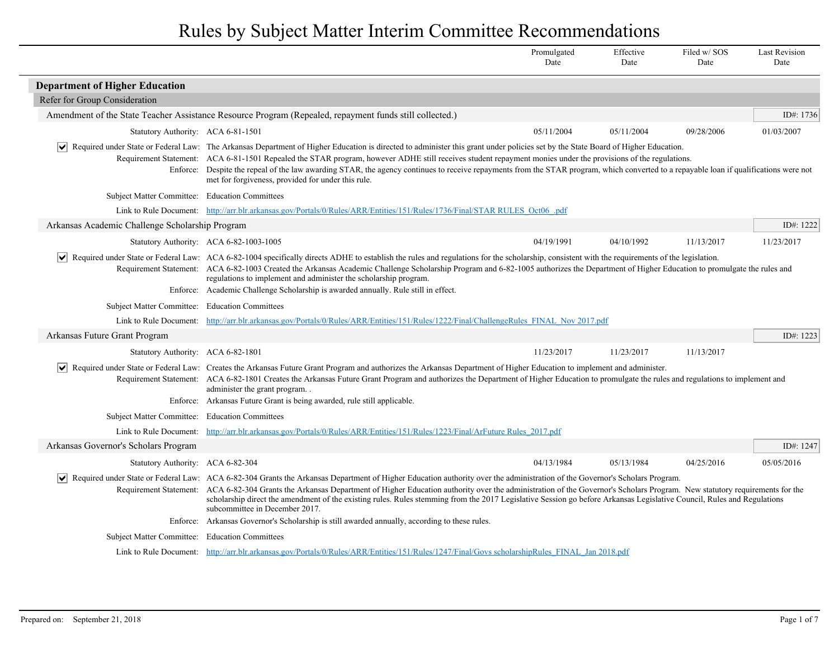|                                                 |                                                                                                                                                                                                                                                                                                                                                                                                                                                                                                                                                                                                   | Promulgated<br>Date | Effective<br>Date | Filed w/SOS<br>Date | <b>Last Revision</b><br>Date |
|-------------------------------------------------|---------------------------------------------------------------------------------------------------------------------------------------------------------------------------------------------------------------------------------------------------------------------------------------------------------------------------------------------------------------------------------------------------------------------------------------------------------------------------------------------------------------------------------------------------------------------------------------------------|---------------------|-------------------|---------------------|------------------------------|
| <b>Department of Higher Education</b>           |                                                                                                                                                                                                                                                                                                                                                                                                                                                                                                                                                                                                   |                     |                   |                     |                              |
| Refer for Group Consideration                   |                                                                                                                                                                                                                                                                                                                                                                                                                                                                                                                                                                                                   |                     |                   |                     |                              |
|                                                 | Amendment of the State Teacher Assistance Resource Program (Repealed, repayment funds still collected.)                                                                                                                                                                                                                                                                                                                                                                                                                                                                                           |                     |                   |                     | ID#: 1736                    |
| Statutory Authority: ACA 6-81-1501              |                                                                                                                                                                                                                                                                                                                                                                                                                                                                                                                                                                                                   | 05/11/2004          | 05/11/2004        | 09/28/2006          | 01/03/2007                   |
| $ \bm{\mathsf{v}} $                             | Required under State or Federal Law: The Arkansas Department of Higher Education is directed to administer this grant under policies set by the State Board of Higher Education.<br>Requirement Statement: ACA 6-81-1501 Repealed the STAR program, however ADHE still receives student repayment monies under the provisions of the regulations.<br>Enforce: Despite the repeal of the law awarding STAR, the agency continues to receive repayments from the STAR program, which converted to a repayable loan if qualifications were not<br>met for forgiveness, provided for under this rule. |                     |                   |                     |                              |
| Subject Matter Committee: Education Committees  |                                                                                                                                                                                                                                                                                                                                                                                                                                                                                                                                                                                                   |                     |                   |                     |                              |
|                                                 | Link to Rule Document: http://arr.blr.arkansas.gov/Portals/0/Rules/ARR/Entities/151/Rules/1736/Final/STAR RULES_Oct06_pdf                                                                                                                                                                                                                                                                                                                                                                                                                                                                         |                     |                   |                     |                              |
| Arkansas Academic Challenge Scholarship Program |                                                                                                                                                                                                                                                                                                                                                                                                                                                                                                                                                                                                   |                     |                   |                     | ID#: 1222                    |
|                                                 | Statutory Authority: ACA 6-82-1003-1005                                                                                                                                                                                                                                                                                                                                                                                                                                                                                                                                                           | 04/19/1991          | 04/10/1992        | 11/13/2017          | 11/23/2017                   |
| $ \mathbf{v} $                                  | Required under State or Federal Law: ACA 6-82-1004 specifically directs ADHE to establish the rules and regulations for the scholarship, consistent with the requirements of the legislation.<br>Requirement Statement: ACA 6-82-1003 Created the Arkansas Academic Challenge Scholarship Program and 6-82-1005 authorizes the Department of Higher Education to promulgate the rules and<br>regulations to implement and administer the scholarship program.<br>Enforce: Academic Challenge Scholarship is awarded annually. Rule still in effect.                                               |                     |                   |                     |                              |
| Subject Matter Committee: Education Committees  |                                                                                                                                                                                                                                                                                                                                                                                                                                                                                                                                                                                                   |                     |                   |                     |                              |
|                                                 | Link to Rule Document: http://arr.blr.arkansas.gov/Portals/0/Rules/ARR/Entities/151/Rules/1222/Final/ChallengeRules FINAL Nov 2017.pdf                                                                                                                                                                                                                                                                                                                                                                                                                                                            |                     |                   |                     |                              |
| Arkansas Future Grant Program                   |                                                                                                                                                                                                                                                                                                                                                                                                                                                                                                                                                                                                   |                     |                   |                     | ID#: 1223                    |
| Statutory Authority: ACA 6-82-1801              |                                                                                                                                                                                                                                                                                                                                                                                                                                                                                                                                                                                                   | 11/23/2017          | 11/23/2017        | 11/13/2017          |                              |
| $ \vee $                                        | Required under State or Federal Law: Creates the Arkansas Future Grant Program and authorizes the Arkansas Department of Higher Education to implement and administer.<br>Requirement Statement: ACA 6-82-1801 Creates the Arkansas Future Grant Program and authorizes the Department of Higher Education to promulgate the rules and regulations to implement and<br>administer the grant program<br>Enforce: Arkansas Future Grant is being awarded, rule still applicable.                                                                                                                    |                     |                   |                     |                              |
| Subject Matter Committee: Education Committees  |                                                                                                                                                                                                                                                                                                                                                                                                                                                                                                                                                                                                   |                     |                   |                     |                              |
|                                                 | Link to Rule Document: http://arr.blr.arkansas.gov/Portals/0/Rules/ARR/Entities/151/Rules/1223/Final/ArFuture Rules 2017.pdf                                                                                                                                                                                                                                                                                                                                                                                                                                                                      |                     |                   |                     |                              |
| Arkansas Governor's Scholars Program            |                                                                                                                                                                                                                                                                                                                                                                                                                                                                                                                                                                                                   |                     |                   |                     | ID#: 1247                    |
| Statutory Authority: ACA 6-82-304               |                                                                                                                                                                                                                                                                                                                                                                                                                                                                                                                                                                                                   | 04/13/1984          | 05/13/1984        | 04/25/2016          | 05/05/2016                   |
| $\vert\bm{\mathsf{v}}\vert$                     | Required under State or Federal Law: ACA 6-82-304 Grants the Arkansas Department of Higher Education authority over the administration of the Governor's Scholars Program.<br>Requirement Statement: ACA 6-82-304 Grants the Arkansas Department of Higher Education authority over the administration of the Governor's Scholars Program. New statutory requirements for the<br>scholarship direct the amendment of the existing rules. Rules stemming from the 2017 Legislative Session go before Arkansas Legislative Council, Rules and Regulations<br>subcommittee in December 2017.         |                     |                   |                     |                              |
|                                                 | Enforce: Arkansas Governor's Scholarship is still awarded annually, according to these rules.                                                                                                                                                                                                                                                                                                                                                                                                                                                                                                     |                     |                   |                     |                              |
| Subject Matter Committee: Education Committees  |                                                                                                                                                                                                                                                                                                                                                                                                                                                                                                                                                                                                   |                     |                   |                     |                              |
|                                                 | Link to Rule Document: http://arr.blr.arkansas.gov/Portals/0/Rules/ARR/Entities/151/Rules/1247/Final/Govs scholarshipRules FINAL Jan 2018.pdf                                                                                                                                                                                                                                                                                                                                                                                                                                                     |                     |                   |                     |                              |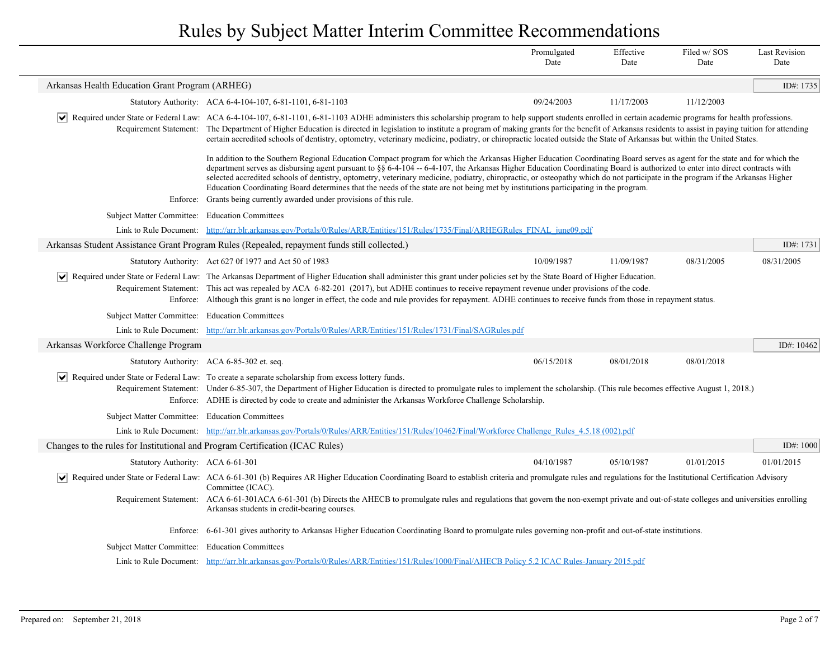|                                                                               |                                                                                                                                                                                                                                                                                                                                                                                                                                                                                                                                                                                                                                                                                   | Promulgated<br>Date | Effective<br>Date | Filed w/SOS<br>Date | <b>Last Revision</b><br>Date |
|-------------------------------------------------------------------------------|-----------------------------------------------------------------------------------------------------------------------------------------------------------------------------------------------------------------------------------------------------------------------------------------------------------------------------------------------------------------------------------------------------------------------------------------------------------------------------------------------------------------------------------------------------------------------------------------------------------------------------------------------------------------------------------|---------------------|-------------------|---------------------|------------------------------|
| Arkansas Health Education Grant Program (ARHEG)                               |                                                                                                                                                                                                                                                                                                                                                                                                                                                                                                                                                                                                                                                                                   |                     |                   |                     | ID#: 1735                    |
|                                                                               | Statutory Authority: ACA 6-4-104-107, 6-81-1101, 6-81-1103                                                                                                                                                                                                                                                                                                                                                                                                                                                                                                                                                                                                                        | 09/24/2003          | 11/17/2003        | 11/12/2003          |                              |
|                                                                               | Required under State or Federal Law: ACA 6-4-104-107, 6-81-1101, 6-81-1103 ADHE administers this scholarship program to help support students enrolled in certain academic programs for health professions.<br>Requirement Statement: The Department of Higher Education is directed in legislation to institute a program of making grants for the benefit of Arkansas residents to assist in paying tuition for attending<br>certain accredited schools of dentistry, optometry, veterinary medicine, podiatry, or chiropractic located outside the State of Arkansas but within the United States.                                                                             |                     |                   |                     |                              |
|                                                                               | In addition to the Southern Regional Education Compact program for which the Arkansas Higher Education Coordinating Board serves as agent for the state and for which the<br>department serves as disbursing agent pursuant to §§ 6-4-104 -- 6-4-107, the Arkansas Higher Education Coordinating Board is authorized to enter into direct contracts with<br>selected accredited schools of dentistry, optometry, veterinary medicine, podiatry, chiropractic, or osteopathy which do not participate in the program if the Arkansas Higher<br>Education Coordinating Board determines that the needs of the state are not being met by institutions participating in the program. |                     |                   |                     |                              |
|                                                                               | Enforce: Grants being currently awarded under provisions of this rule.                                                                                                                                                                                                                                                                                                                                                                                                                                                                                                                                                                                                            |                     |                   |                     |                              |
| Subject Matter Committee: Education Committees                                |                                                                                                                                                                                                                                                                                                                                                                                                                                                                                                                                                                                                                                                                                   |                     |                   |                     |                              |
|                                                                               | Link to Rule Document: http://arr.blr.arkansas.gov/Portals/0/Rules/ARR/Entities/151/Rules/1735/Final/ARHEGRules FINAL june09.pdf                                                                                                                                                                                                                                                                                                                                                                                                                                                                                                                                                  |                     |                   |                     |                              |
|                                                                               | Arkansas Student Assistance Grant Program Rules (Repealed, repayment funds still collected.)                                                                                                                                                                                                                                                                                                                                                                                                                                                                                                                                                                                      |                     |                   |                     | ID#: 1731                    |
|                                                                               | Statutory Authority: Act 627 0f 1977 and Act 50 of 1983                                                                                                                                                                                                                                                                                                                                                                                                                                                                                                                                                                                                                           | 10/09/1987          | 11/09/1987        | 08/31/2005          | 08/31/2005                   |
|                                                                               | Required under State or Federal Law: The Arkansas Department of Higher Education shall administer this grant under policies set by the State Board of Higher Education.<br>Requirement Statement: This act was repealed by ACA 6-82-201 (2017), but ADHE continues to receive repayment revenue under provisions of the code.<br>Enforce: Although this grant is no longer in effect, the code and rule provides for repayment. ADHE continues to receive funds from those in repayment status.                                                                                                                                                                                   |                     |                   |                     |                              |
| Subject Matter Committee: Education Committees                                |                                                                                                                                                                                                                                                                                                                                                                                                                                                                                                                                                                                                                                                                                   |                     |                   |                     |                              |
|                                                                               | Link to Rule Document: http://arr.blr.arkansas.gov/Portals/0/Rules/ARR/Entities/151/Rules/1731/Final/SAGRules.pdf                                                                                                                                                                                                                                                                                                                                                                                                                                                                                                                                                                 |                     |                   |                     |                              |
| Arkansas Workforce Challenge Program                                          |                                                                                                                                                                                                                                                                                                                                                                                                                                                                                                                                                                                                                                                                                   |                     |                   |                     | ID#: 10462                   |
|                                                                               | Statutory Authority: ACA 6-85-302 et. seq.                                                                                                                                                                                                                                                                                                                                                                                                                                                                                                                                                                                                                                        | 06/15/2018          | 08/01/2018        | 08/01/2018          |                              |
|                                                                               | Required under State or Federal Law: To create a separate scholarship from excess lottery funds.<br>Requirement Statement: Under 6-85-307, the Department of Higher Education is directed to promulgate rules to implement the scholarship. (This rule becomes effective August 1, 2018.)<br>Enforce: ADHE is directed by code to create and administer the Arkansas Workforce Challenge Scholarship.                                                                                                                                                                                                                                                                             |                     |                   |                     |                              |
| Subject Matter Committee: Education Committees                                |                                                                                                                                                                                                                                                                                                                                                                                                                                                                                                                                                                                                                                                                                   |                     |                   |                     |                              |
|                                                                               | Link to Rule Document: http://arr.blr.arkansas.gov/Portals/0/Rules/ARR/Entities/151/Rules/10462/Final/Workforce Challenge Rules 4.5.18 (002).pdf                                                                                                                                                                                                                                                                                                                                                                                                                                                                                                                                  |                     |                   |                     |                              |
| Changes to the rules for Institutional and Program Certification (ICAC Rules) |                                                                                                                                                                                                                                                                                                                                                                                                                                                                                                                                                                                                                                                                                   |                     |                   |                     | ID#: $1000$                  |
| Statutory Authority: ACA 6-61-301                                             |                                                                                                                                                                                                                                                                                                                                                                                                                                                                                                                                                                                                                                                                                   | 04/10/1987          | 05/10/1987        | 01/01/2015          | 01/01/2015                   |
|                                                                               | Required under State or Federal Law: ACA 6-61-301 (b) Requires AR Higher Education Coordinating Board to establish criteria and promulgate rules and regulations for the Institutional Certification Advisory<br>Committee (ICAC).                                                                                                                                                                                                                                                                                                                                                                                                                                                |                     |                   |                     |                              |
|                                                                               | Requirement Statement: ACA 6-61-301ACA 6-61-301 (b) Directs the AHECB to promulgate rules and regulations that govern the non-exempt private and out-of-state colleges and universities enrolling<br>Arkansas students in credit-bearing courses.                                                                                                                                                                                                                                                                                                                                                                                                                                 |                     |                   |                     |                              |
|                                                                               | Enforce: 6-61-301 gives authority to Arkansas Higher Education Coordinating Board to promulgate rules governing non-profit and out-of-state institutions.                                                                                                                                                                                                                                                                                                                                                                                                                                                                                                                         |                     |                   |                     |                              |
| Subject Matter Committee: Education Committees                                |                                                                                                                                                                                                                                                                                                                                                                                                                                                                                                                                                                                                                                                                                   |                     |                   |                     |                              |
|                                                                               | Link to Rule Document: http://arr.blr.arkansas.gov/Portals/0/Rules/ARR/Entities/151/Rules/1000/Final/AHECB Policy 5.2 ICAC Rules-January 2015.pdf                                                                                                                                                                                                                                                                                                                                                                                                                                                                                                                                 |                     |                   |                     |                              |
|                                                                               |                                                                                                                                                                                                                                                                                                                                                                                                                                                                                                                                                                                                                                                                                   |                     |                   |                     |                              |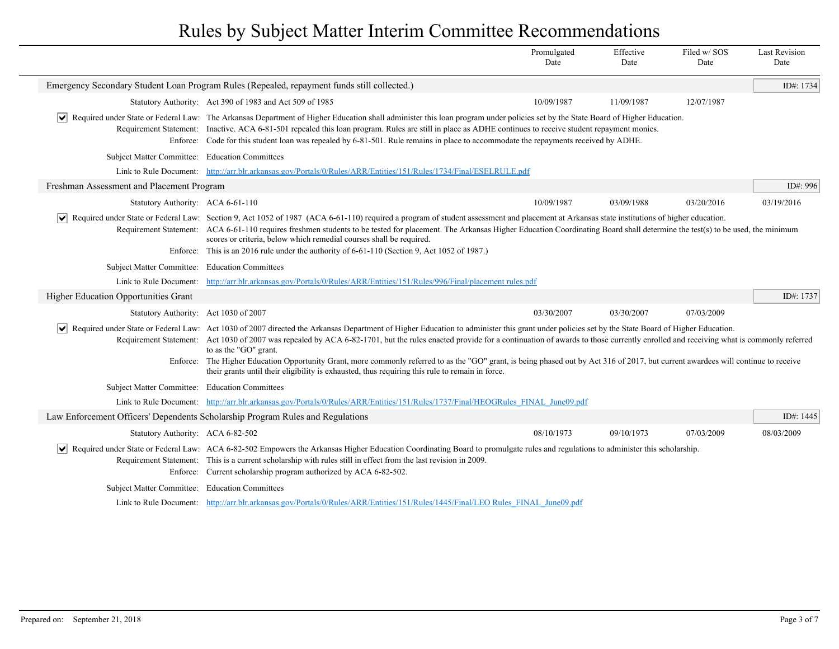|                                                |                                                                                                                                                                                                                                                                                                                                                                                                                                                                                                                                                                                                                         | Promulgated<br>Date | Effective<br>Date | Filed w/SOS<br>Date | <b>Last Revision</b><br>Date |
|------------------------------------------------|-------------------------------------------------------------------------------------------------------------------------------------------------------------------------------------------------------------------------------------------------------------------------------------------------------------------------------------------------------------------------------------------------------------------------------------------------------------------------------------------------------------------------------------------------------------------------------------------------------------------------|---------------------|-------------------|---------------------|------------------------------|
|                                                | Emergency Secondary Student Loan Program Rules (Repealed, repayment funds still collected.)                                                                                                                                                                                                                                                                                                                                                                                                                                                                                                                             |                     |                   |                     | ID#: 1734                    |
|                                                | Statutory Authority: Act 390 of 1983 and Act 509 of 1985                                                                                                                                                                                                                                                                                                                                                                                                                                                                                                                                                                | 10/09/1987          | 11/09/1987        | 12/07/1987          |                              |
|                                                | Required under State or Federal Law: The Arkansas Department of Higher Education shall administer this loan program under policies set by the State Board of Higher Education.<br>Requirement Statement: Inactive. ACA 6-81-501 repealed this loan program. Rules are still in place as ADHE continues to receive student repayment monies.<br>Enforce: Code for this student loan was repealed by 6-81-501. Rule remains in place to accommodate the repayments received by ADHE.                                                                                                                                      |                     |                   |                     |                              |
| Subject Matter Committee: Education Committees |                                                                                                                                                                                                                                                                                                                                                                                                                                                                                                                                                                                                                         |                     |                   |                     |                              |
|                                                | Link to Rule Document: http://arr.blr.arkansas.gov/Portals/0/Rules/ARR/Entities/151/Rules/1734/Final/ESELRULE.pdf                                                                                                                                                                                                                                                                                                                                                                                                                                                                                                       |                     |                   |                     |                              |
| Freshman Assessment and Placement Program      |                                                                                                                                                                                                                                                                                                                                                                                                                                                                                                                                                                                                                         |                     |                   |                     | ID#: 996                     |
| Statutory Authority: ACA 6-61-110              |                                                                                                                                                                                                                                                                                                                                                                                                                                                                                                                                                                                                                         | 10/09/1987          | 03/09/1988        | 03/20/2016          | 03/19/2016                   |
| M                                              | Required under State or Federal Law: Section 9, Act 1052 of 1987 (ACA 6-61-110) required a program of student assessment and placement at Arkansas state institutions of higher education.<br>Requirement Statement: ACA 6-61-110 requires freshmen students to be tested for placement. The Arkansas Higher Education Coordinating Board shall determine the test(s) to be used, the minimum<br>scores or criteria, below which remedial courses shall be required.<br>Enforce: This is an 2016 rule under the authority of 6-61-110 (Section 9, Act 1052 of 1987.)                                                    |                     |                   |                     |                              |
| Subject Matter Committee: Education Committees |                                                                                                                                                                                                                                                                                                                                                                                                                                                                                                                                                                                                                         |                     |                   |                     |                              |
| Link to Rule Document:                         | http://arr.blr.arkansas.gov/Portals/0/Rules/ARR/Entities/151/Rules/996/Final/placement rules.pdf                                                                                                                                                                                                                                                                                                                                                                                                                                                                                                                        |                     |                   |                     |                              |
| <b>Higher Education Opportunities Grant</b>    |                                                                                                                                                                                                                                                                                                                                                                                                                                                                                                                                                                                                                         |                     |                   |                     | ID#: 1737                    |
| Statutory Authority: Act 1030 of 2007          |                                                                                                                                                                                                                                                                                                                                                                                                                                                                                                                                                                                                                         | 03/30/2007          | 03/30/2007        | 07/03/2009          |                              |
| ∣V∣                                            | Required under State or Federal Law: Act 1030 of 2007 directed the Arkansas Department of Higher Education to administer this grant under policies set by the State Board of Higher Education.<br>Requirement Statement: Act 1030 of 2007 was repealed by ACA 6-82-1701, but the rules enacted provide for a continuation of awards to those currently enrolled and receiving what is commonly referred<br>to as the "GO" grant.<br>Enforce: The Higher Education Opportunity Grant, more commonly referred to as the "GO" grant, is being phased out by Act 316 of 2017, but current awardees will continue to receive |                     |                   |                     |                              |
|                                                | their grants until their eligibility is exhausted, thus requiring this rule to remain in force.                                                                                                                                                                                                                                                                                                                                                                                                                                                                                                                         |                     |                   |                     |                              |
| Subject Matter Committee: Education Committees |                                                                                                                                                                                                                                                                                                                                                                                                                                                                                                                                                                                                                         |                     |                   |                     |                              |
|                                                | Link to Rule Document: http://arr.blr.arkansas.gov/Portals/0/Rules/ARR/Entities/151/Rules/1737/Final/HEOGRules FINAL June09.pdf                                                                                                                                                                                                                                                                                                                                                                                                                                                                                         |                     |                   |                     |                              |
|                                                | Law Enforcement Officers' Dependents Scholarship Program Rules and Regulations                                                                                                                                                                                                                                                                                                                                                                                                                                                                                                                                          |                     |                   |                     | ID#: 1445                    |
| Statutory Authority: ACA 6-82-502              |                                                                                                                                                                                                                                                                                                                                                                                                                                                                                                                                                                                                                         | 08/10/1973          | 09/10/1973        | 07/03/2009          | 08/03/2009                   |
|                                                | Required under State or Federal Law: ACA 6-82-502 Empowers the Arkansas Higher Education Coordinating Board to promulgate rules and regulations to administer this scholarship.<br>Requirement Statement: This is a current scholarship with rules still in effect from the last revision in 2009.<br>Enforce: Current scholarship program authorized by ACA 6-82-502.                                                                                                                                                                                                                                                  |                     |                   |                     |                              |
| Subject Matter Committee: Education Committees |                                                                                                                                                                                                                                                                                                                                                                                                                                                                                                                                                                                                                         |                     |                   |                     |                              |
|                                                | Link to Rule Document: http://arr.blr.arkansas.gov/Portals/0/Rules/ARR/Entities/151/Rules/1445/Final/LEO Rules FINAL June09.pdf                                                                                                                                                                                                                                                                                                                                                                                                                                                                                         |                     |                   |                     |                              |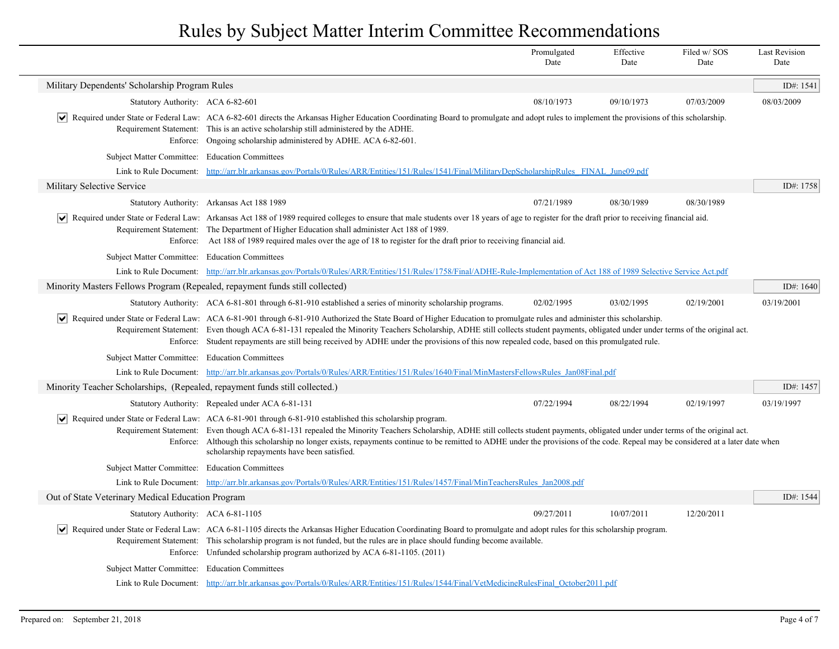|                                                                              |                                                                                                                                                                                                                                                                                                                                                                                                                                                                                                                                                           | Promulgated<br>Date | Effective<br>Date | Filed w/SOS<br>Date | <b>Last Revision</b><br>Date |
|------------------------------------------------------------------------------|-----------------------------------------------------------------------------------------------------------------------------------------------------------------------------------------------------------------------------------------------------------------------------------------------------------------------------------------------------------------------------------------------------------------------------------------------------------------------------------------------------------------------------------------------------------|---------------------|-------------------|---------------------|------------------------------|
| Military Dependents' Scholarship Program Rules                               |                                                                                                                                                                                                                                                                                                                                                                                                                                                                                                                                                           |                     |                   |                     | ID#: 1541                    |
| Statutory Authority: ACA 6-82-601                                            |                                                                                                                                                                                                                                                                                                                                                                                                                                                                                                                                                           | 08/10/1973          | 09/10/1973        | 07/03/2009          | 08/03/2009                   |
|                                                                              | Required under State or Federal Law: ACA 6-82-601 directs the Arkansas Higher Education Coordinating Board to promulgate and adopt rules to implement the provisions of this scholarship.<br>Requirement Statement: This is an active scholarship still administered by the ADHE.<br>Enforce: Ongoing scholarship administered by ADHE. ACA 6-82-601.                                                                                                                                                                                                     |                     |                   |                     |                              |
| Subject Matter Committee: Education Committees                               |                                                                                                                                                                                                                                                                                                                                                                                                                                                                                                                                                           |                     |                   |                     |                              |
|                                                                              | Link to Rule Document: http://arr.blr.arkansas.gov/Portals/0/Rules/ARR/Entities/151/Rules/1541/Final/MilitaryDepScholarshipRules FINAL June09.pdf                                                                                                                                                                                                                                                                                                                                                                                                         |                     |                   |                     |                              |
| Military Selective Service                                                   |                                                                                                                                                                                                                                                                                                                                                                                                                                                                                                                                                           |                     |                   |                     | ID#: $1758$                  |
|                                                                              | Statutory Authority: Arkansas Act 188 1989                                                                                                                                                                                                                                                                                                                                                                                                                                                                                                                | 07/21/1989          | 08/30/1989        | 08/30/1989          |                              |
|                                                                              | Required under State or Federal Law: Arkansas Act 188 of 1989 required colleges to ensure that male students over 18 years of age to register for the draft prior to receiving financial aid.<br>Requirement Statement: The Department of Higher Education shall administer Act 188 of 1989.<br>Enforce: Act 188 of 1989 required males over the age of 18 to register for the draft prior to receiving financial aid.                                                                                                                                    |                     |                   |                     |                              |
| Subject Matter Committee: Education Committees                               |                                                                                                                                                                                                                                                                                                                                                                                                                                                                                                                                                           |                     |                   |                     |                              |
|                                                                              | Link to Rule Document: http://arr.blr.arkansas.gov/Portals/0/Rules/ARR/Entities/151/Rules/1758/Final/ADHE-Rule-Implementation of Act 188 of 1989 Selective Service Act.pdf                                                                                                                                                                                                                                                                                                                                                                                |                     |                   |                     |                              |
| Minority Masters Fellows Program (Repealed, repayment funds still collected) |                                                                                                                                                                                                                                                                                                                                                                                                                                                                                                                                                           |                     |                   |                     | ID#: 1640                    |
|                                                                              | Statutory Authority: ACA 6-81-801 through 6-81-910 established a series of minority scholarship programs.                                                                                                                                                                                                                                                                                                                                                                                                                                                 | 02/02/1995          | 03/02/1995        | 02/19/2001          | 03/19/2001                   |
|                                                                              | Required under State or Federal Law: ACA 6-81-901 through 6-81-910 Authorized the State Board of Higher Education to promulgate rules and administer this scholarship.<br>Requirement Statement: Even though ACA 6-81-131 repealed the Minority Teachers Scholarship, ADHE still collects student payments, obligated under under terms of the original act.<br>Enforce: Student repayments are still being received by ADHE under the provisions of this now repealed code, based on this promulgated rule.                                              |                     |                   |                     |                              |
| Subject Matter Committee: Education Committees                               |                                                                                                                                                                                                                                                                                                                                                                                                                                                                                                                                                           |                     |                   |                     |                              |
|                                                                              | Link to Rule Document: http://arr.blr.arkansas.gov/Portals/0/Rules/ARR/Entities/151/Rules/1640/Final/MinMastersFellowsRules Jan08Final.pdf                                                                                                                                                                                                                                                                                                                                                                                                                |                     |                   |                     |                              |
| Minority Teacher Scholarships, (Repealed, repayment funds still collected.)  |                                                                                                                                                                                                                                                                                                                                                                                                                                                                                                                                                           |                     |                   |                     | ID#: 1457                    |
|                                                                              | Statutory Authority: Repealed under ACA 6-81-131                                                                                                                                                                                                                                                                                                                                                                                                                                                                                                          | 07/22/1994          | 08/22/1994        | 02/19/1997          | 03/19/1997                   |
|                                                                              | $\vert \checkmark \vert$ Required under State or Federal Law: ACA 6-81-901 through 6-81-910 established this scholarship program.<br>Requirement Statement: Even though ACA 6-81-131 repealed the Minority Teachers Scholarship, ADHE still collects student payments, obligated under under terms of the original act.<br>Enforce: Although this scholarship no longer exists, repayments continue to be remitted to ADHE under the provisions of the code. Repeal may be considered at a later date when<br>scholarship repayments have been satisfied. |                     |                   |                     |                              |
| Subject Matter Committee: Education Committees                               |                                                                                                                                                                                                                                                                                                                                                                                                                                                                                                                                                           |                     |                   |                     |                              |
|                                                                              | Link to Rule Document: http://arr.blr.arkansas.gov/Portals/0/Rules/ARR/Entities/151/Rules/1457/Final/MinTeachersRules Jan2008.pdf                                                                                                                                                                                                                                                                                                                                                                                                                         |                     |                   |                     |                              |
| Out of State Veterinary Medical Education Program                            |                                                                                                                                                                                                                                                                                                                                                                                                                                                                                                                                                           |                     |                   |                     | ID#: 1544                    |
| Statutory Authority: ACA 6-81-1105                                           |                                                                                                                                                                                                                                                                                                                                                                                                                                                                                                                                                           | 09/27/2011          | 10/07/2011        | 12/20/2011          |                              |
|                                                                              | Required under State or Federal Law: ACA 6-81-1105 directs the Arkansas Higher Education Coordinating Board to promulgate and adopt rules for this scholarship program.<br>Requirement Statement: This scholarship program is not funded, but the rules are in place should funding become available.<br>Enforce: Unfunded scholarship program authorized by ACA 6-81-1105. (2011)                                                                                                                                                                        |                     |                   |                     |                              |
| Subject Matter Committee: Education Committees                               |                                                                                                                                                                                                                                                                                                                                                                                                                                                                                                                                                           |                     |                   |                     |                              |
|                                                                              | Link to Rule Document: http://arr.blr.arkansas.gov/Portals/0/Rules/ARR/Entities/151/Rules/1544/Final/VetMedicineRulesFinal October2011.pdf                                                                                                                                                                                                                                                                                                                                                                                                                |                     |                   |                     |                              |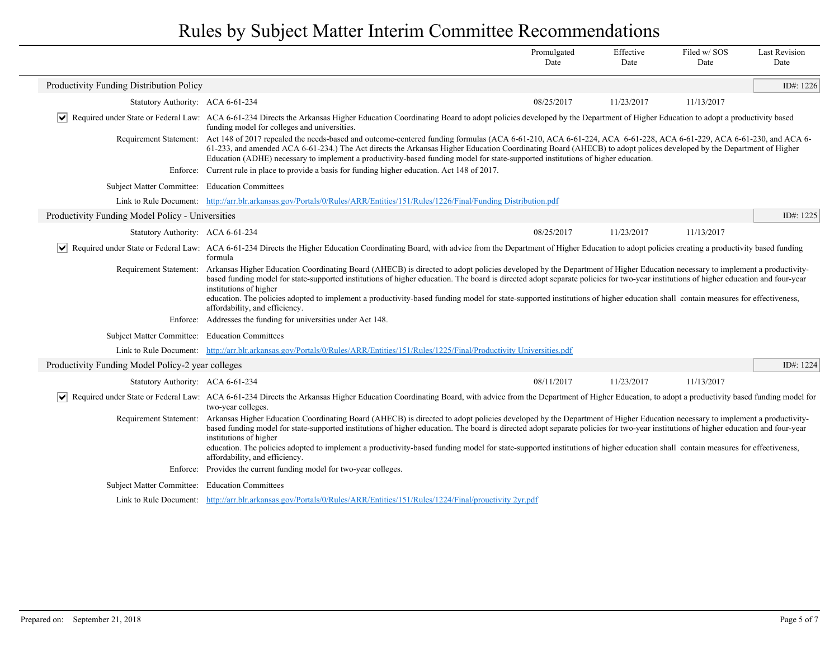|                                                   |                                                                                                                                                                                                                                                                                                                                                                                                                                                                                                                                                                                                                                                                                  | Promulgated<br>Date | Effective<br>Date | Filed w/SOS<br>Date | <b>Last Revision</b><br>Date |
|---------------------------------------------------|----------------------------------------------------------------------------------------------------------------------------------------------------------------------------------------------------------------------------------------------------------------------------------------------------------------------------------------------------------------------------------------------------------------------------------------------------------------------------------------------------------------------------------------------------------------------------------------------------------------------------------------------------------------------------------|---------------------|-------------------|---------------------|------------------------------|
| Productivity Funding Distribution Policy          |                                                                                                                                                                                                                                                                                                                                                                                                                                                                                                                                                                                                                                                                                  |                     |                   |                     | ID#: 1226                    |
| Statutory Authority: ACA 6-61-234                 |                                                                                                                                                                                                                                                                                                                                                                                                                                                                                                                                                                                                                                                                                  | 08/25/2017          | 11/23/2017        | 11/13/2017          |                              |
|                                                   | Required under State or Federal Law: ACA 6-61-234 Directs the Arkansas Higher Education Coordinating Board to adopt policies developed by the Department of Higher Education to adopt a productivity based<br>funding model for colleges and universities.                                                                                                                                                                                                                                                                                                                                                                                                                       |                     |                   |                     |                              |
|                                                   | Requirement Statement: Act 148 of 2017 repealed the needs-based and outcome-centered funding formulas (ACA 6-61-210, ACA 6-61-224, ACA 6-61-228, ACA 6-61-229, ACA 6-61-229, ACA 6-61-229, ACA 6-61-229, ACA 6-61-229, ACA 6-6<br>61-233, and amended ACA 6-61-234.) The Act directs the Arkansas Higher Education Coordinating Board (AHECB) to adopt polices developed by the Department of Higher<br>Education (ADHE) necessary to implement a productivity-based funding model for state-supported institutions of higher education.                                                                                                                                         |                     |                   |                     |                              |
|                                                   | Enforce: Current rule in place to provide a basis for funding higher education. Act 148 of 2017.                                                                                                                                                                                                                                                                                                                                                                                                                                                                                                                                                                                 |                     |                   |                     |                              |
| Subject Matter Committee: Education Committees    |                                                                                                                                                                                                                                                                                                                                                                                                                                                                                                                                                                                                                                                                                  |                     |                   |                     |                              |
|                                                   | Link to Rule Document: http://arr.blr.arkansas.gov/Portals/0/Rules/ARR/Entities/151/Rules/1226/Final/Funding Distribution.pdf                                                                                                                                                                                                                                                                                                                                                                                                                                                                                                                                                    |                     |                   |                     |                              |
| Productivity Funding Model Policy - Universities  |                                                                                                                                                                                                                                                                                                                                                                                                                                                                                                                                                                                                                                                                                  |                     |                   |                     | ID#: 1225                    |
| Statutory Authority: ACA 6-61-234                 |                                                                                                                                                                                                                                                                                                                                                                                                                                                                                                                                                                                                                                                                                  | 08/25/2017          | 11/23/2017        | 11/13/2017          |                              |
| $ \mathbf{v} $                                    | Required under State or Federal Law: ACA 6-61-234 Directs the Higher Education Coordinating Board, with advice from the Department of Higher Education to adopt policies creating a productivity based funding<br>formula                                                                                                                                                                                                                                                                                                                                                                                                                                                        |                     |                   |                     |                              |
| Requirement Statement:                            | Arkansas Higher Education Coordinating Board (AHECB) is directed to adopt policies developed by the Department of Higher Education necessary to implement a productivity-<br>based funding model for state-supported institutions of higher education. The board is directed adopt separate policies for two-year institutions of higher education and four-year<br>institutions of higher<br>education. The policies adopted to implement a productivity-based funding model for state-supported institutions of higher education shall contain measures for effectiveness,<br>affordability, and efficiency.<br>Enforce: Addresses the funding for universities under Act 148. |                     |                   |                     |                              |
| Subject Matter Committee: Education Committees    |                                                                                                                                                                                                                                                                                                                                                                                                                                                                                                                                                                                                                                                                                  |                     |                   |                     |                              |
|                                                   | Link to Rule Document: http://arr.blr.arkansas.gov/Portals/0/Rules/ARR/Entities/151/Rules/1225/Final/Productivity Universities.pdf                                                                                                                                                                                                                                                                                                                                                                                                                                                                                                                                               |                     |                   |                     |                              |
| Productivity Funding Model Policy-2 year colleges |                                                                                                                                                                                                                                                                                                                                                                                                                                                                                                                                                                                                                                                                                  |                     |                   |                     | ID#: 1224                    |
| Statutory Authority: ACA 6-61-234                 |                                                                                                                                                                                                                                                                                                                                                                                                                                                                                                                                                                                                                                                                                  | 08/11/2017          | 11/23/2017        | 11/13/2017          |                              |
| $ \bm{\mathsf{v}} $                               | Required under State or Federal Law: ACA 6-61-234 Directs the Arkansas Higher Education Coordinating Board, with advice from the Department of Higher Education, to adopt a productivity based funding model for<br>two-year colleges.                                                                                                                                                                                                                                                                                                                                                                                                                                           |                     |                   |                     |                              |
|                                                   | Requirement Statement: Arkansas Higher Education Coordinating Board (AHECB) is directed to adopt policies developed by the Department of Higher Education necessary to implement a productivity-<br>based funding model for state-supported institutions of higher education. The board is directed adopt separate policies for two-year institutions of higher education and four-year<br>institutions of higher<br>education. The policies adopted to implement a productivity-based funding model for state-supported institutions of higher education shall contain measures for effectiveness,<br>affordability, and efficiency.                                            |                     |                   |                     |                              |
|                                                   | Enforce: Provides the current funding model for two-year colleges.                                                                                                                                                                                                                                                                                                                                                                                                                                                                                                                                                                                                               |                     |                   |                     |                              |
| Subject Matter Committee: Education Committees    |                                                                                                                                                                                                                                                                                                                                                                                                                                                                                                                                                                                                                                                                                  |                     |                   |                     |                              |
|                                                   | Link to Rule Document: http://arr.blr.arkansas.gov/Portals/0/Rules/ARR/Entities/151/Rules/1224/Final/prouctivity 2yr.pdf                                                                                                                                                                                                                                                                                                                                                                                                                                                                                                                                                         |                     |                   |                     |                              |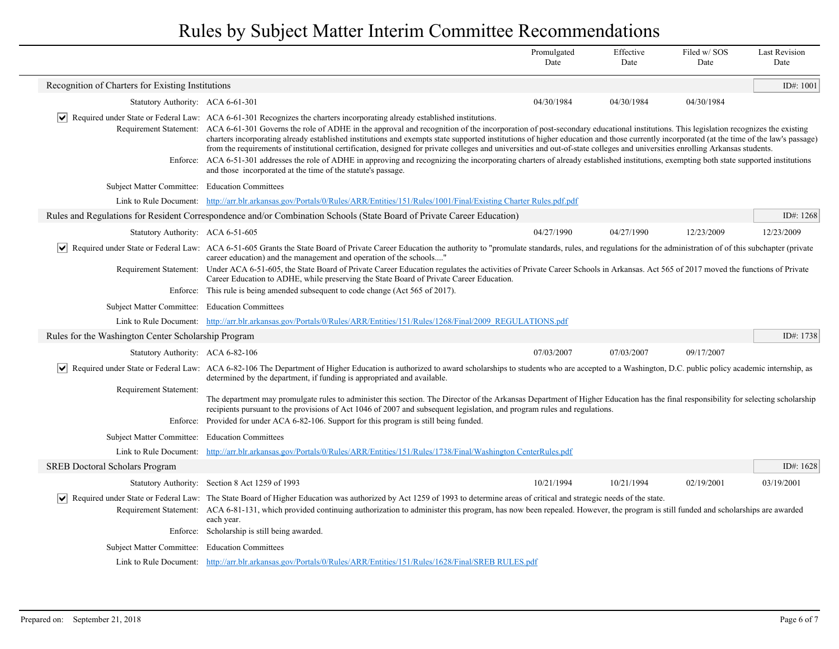|                                                       |                                                                                                                                                                                                                                                                                                                                                                                                                                                                                                                                                                                                                                                                                                                                                                                                                                                                                                                                    | Promulgated<br>Date | Effective<br>Date | Filed w/SOS<br>Date | <b>Last Revision</b><br>Date |
|-------------------------------------------------------|------------------------------------------------------------------------------------------------------------------------------------------------------------------------------------------------------------------------------------------------------------------------------------------------------------------------------------------------------------------------------------------------------------------------------------------------------------------------------------------------------------------------------------------------------------------------------------------------------------------------------------------------------------------------------------------------------------------------------------------------------------------------------------------------------------------------------------------------------------------------------------------------------------------------------------|---------------------|-------------------|---------------------|------------------------------|
| Recognition of Charters for Existing Institutions     |                                                                                                                                                                                                                                                                                                                                                                                                                                                                                                                                                                                                                                                                                                                                                                                                                                                                                                                                    |                     |                   |                     | ID#: 1001                    |
| Statutory Authority: ACA 6-61-301                     |                                                                                                                                                                                                                                                                                                                                                                                                                                                                                                                                                                                                                                                                                                                                                                                                                                                                                                                                    | 04/30/1984          | 04/30/1984        | 04/30/1984          |                              |
|                                                       | $\vert \bullet \vert$ Required under State or Federal Law: ACA 6-61-301 Recognizes the charters incorporating already established institutions.<br>Requirement Statement: ACA 6-61-301 Governs the role of ADHE in the approval and recognition of the incorporation of post-secondary educational institutions. This legislation recognizes the existing<br>charters incorporating already established institutions and exempts state supported institutions of higher education and those currently incorporated (at the time of the law's passage)<br>from the requirements of institutional certification, designed for private colleges and universities and out-of-state colleges and universities enrolling Arkansas students.<br>Enforce: ACA 6-51-301 addresses the role of ADHE in approving and recognizing the incorporating charters of already established institutions, exempting both state supported institutions |                     |                   |                     |                              |
|                                                       | and those incorporated at the time of the statute's passage.                                                                                                                                                                                                                                                                                                                                                                                                                                                                                                                                                                                                                                                                                                                                                                                                                                                                       |                     |                   |                     |                              |
| Subject Matter Committee: Education Committees        |                                                                                                                                                                                                                                                                                                                                                                                                                                                                                                                                                                                                                                                                                                                                                                                                                                                                                                                                    |                     |                   |                     |                              |
|                                                       | Link to Rule Document: http://arr.blr.arkansas.gov/Portals/0/Rules/ARR/Entities/151/Rules/1001/Final/Existing Charter Rules.pdf.pdf                                                                                                                                                                                                                                                                                                                                                                                                                                                                                                                                                                                                                                                                                                                                                                                                |                     |                   |                     |                              |
|                                                       | Rules and Regulations for Resident Correspondence and/or Combination Schools (State Board of Private Career Education)                                                                                                                                                                                                                                                                                                                                                                                                                                                                                                                                                                                                                                                                                                                                                                                                             |                     |                   |                     | ID#: 1268                    |
| Statutory Authority: ACA 6-51-605                     |                                                                                                                                                                                                                                                                                                                                                                                                                                                                                                                                                                                                                                                                                                                                                                                                                                                                                                                                    | 04/27/1990          | 04/27/1990        | 12/23/2009          | 12/23/2009                   |
|                                                       | Required under State or Federal Law: ACA 6-51-605 Grants the State Board of Private Career Education the authority to "promulate standards, rules, and regulations for the administration of of this subchapter (private<br>career education) and the management and operation of the schools"                                                                                                                                                                                                                                                                                                                                                                                                                                                                                                                                                                                                                                     |                     |                   |                     |                              |
|                                                       | Requirement Statement: Under ACA 6-51-605, the State Board of Private Career Education regulates the activities of Private Career Schools in Arkansas. Act 565 of 2017 moved the functions of Private<br>Career Education to ADHE, while preserving the State Board of Private Career Education.<br>Enforce: This rule is being amended subsequent to code change (Act 565 of 2017).                                                                                                                                                                                                                                                                                                                                                                                                                                                                                                                                               |                     |                   |                     |                              |
|                                                       |                                                                                                                                                                                                                                                                                                                                                                                                                                                                                                                                                                                                                                                                                                                                                                                                                                                                                                                                    |                     |                   |                     |                              |
| Subject Matter Committee: Education Committees        | Link to Rule Document: http://arr.blr.arkansas.gov/Portals/0/Rules/ARR/Entities/151/Rules/1268/Final/2009 REGULATIONS.pdf                                                                                                                                                                                                                                                                                                                                                                                                                                                                                                                                                                                                                                                                                                                                                                                                          |                     |                   |                     |                              |
| Rules for the Washington Center Scholarship Program   |                                                                                                                                                                                                                                                                                                                                                                                                                                                                                                                                                                                                                                                                                                                                                                                                                                                                                                                                    |                     |                   |                     | ID#: 1738                    |
|                                                       |                                                                                                                                                                                                                                                                                                                                                                                                                                                                                                                                                                                                                                                                                                                                                                                                                                                                                                                                    |                     |                   |                     |                              |
| Statutory Authority: ACA 6-82-106                     |                                                                                                                                                                                                                                                                                                                                                                                                                                                                                                                                                                                                                                                                                                                                                                                                                                                                                                                                    | 07/03/2007          | 07/03/2007        | 09/17/2007          |                              |
| M                                                     | Required under State or Federal Law: ACA 6-82-106 The Department of Higher Education is authorized to award scholarships to students who are accepted to a Washington, D.C. public policy academic internship, as<br>determined by the department, if funding is appropriated and available.                                                                                                                                                                                                                                                                                                                                                                                                                                                                                                                                                                                                                                       |                     |                   |                     |                              |
| Requirement Statement:                                | The department may promulgate rules to administer this section. The Director of the Arkansas Department of Higher Education has the final responsibility for selecting scholarship<br>recipients pursuant to the provisions of Act 1046 of 2007 and subsequent legislation, and program rules and regulations.                                                                                                                                                                                                                                                                                                                                                                                                                                                                                                                                                                                                                     |                     |                   |                     |                              |
|                                                       | Enforce: Provided for under ACA 6-82-106. Support for this program is still being funded.                                                                                                                                                                                                                                                                                                                                                                                                                                                                                                                                                                                                                                                                                                                                                                                                                                          |                     |                   |                     |                              |
| <b>Subject Matter Committee:</b>                      | <b>Education Committees</b>                                                                                                                                                                                                                                                                                                                                                                                                                                                                                                                                                                                                                                                                                                                                                                                                                                                                                                        |                     |                   |                     |                              |
|                                                       | Link to Rule Document: http://arr.blr.arkansas.gov/Portals/0/Rules/ARR/Entities/151/Rules/1738/Final/Washington CenterRules.pdf                                                                                                                                                                                                                                                                                                                                                                                                                                                                                                                                                                                                                                                                                                                                                                                                    |                     |                   |                     |                              |
| <b>SREB Doctoral Scholars Program</b>                 |                                                                                                                                                                                                                                                                                                                                                                                                                                                                                                                                                                                                                                                                                                                                                                                                                                                                                                                                    |                     |                   |                     | ID#: $1628$                  |
|                                                       | Statutory Authority: Section 8 Act 1259 of 1993                                                                                                                                                                                                                                                                                                                                                                                                                                                                                                                                                                                                                                                                                                                                                                                                                                                                                    | 10/21/1994          | 10/21/1994        | 02/19/2001          | 03/19/2001                   |
|                                                       | Required under State or Federal Law: The State Board of Higher Education was authorized by Act 1259 of 1993 to determine areas of critical and strategic needs of the state.<br>Requirement Statement: ACA 6-81-131, which provided continuing authorization to administer this program, has now been repealed. However, the program is still funded and scholarships are awarded<br>each year.<br>Enforce: Scholarship is still being awarded.                                                                                                                                                                                                                                                                                                                                                                                                                                                                                    |                     |                   |                     |                              |
| <b>Subject Matter Committee:</b> Education Committees |                                                                                                                                                                                                                                                                                                                                                                                                                                                                                                                                                                                                                                                                                                                                                                                                                                                                                                                                    |                     |                   |                     |                              |
|                                                       | Link to Rule Document: http://arr.blr.arkansas.gov/Portals/0/Rules/ARR/Entities/151/Rules/1628/Final/SREB RULES.pdf                                                                                                                                                                                                                                                                                                                                                                                                                                                                                                                                                                                                                                                                                                                                                                                                                |                     |                   |                     |                              |
|                                                       |                                                                                                                                                                                                                                                                                                                                                                                                                                                                                                                                                                                                                                                                                                                                                                                                                                                                                                                                    |                     |                   |                     |                              |